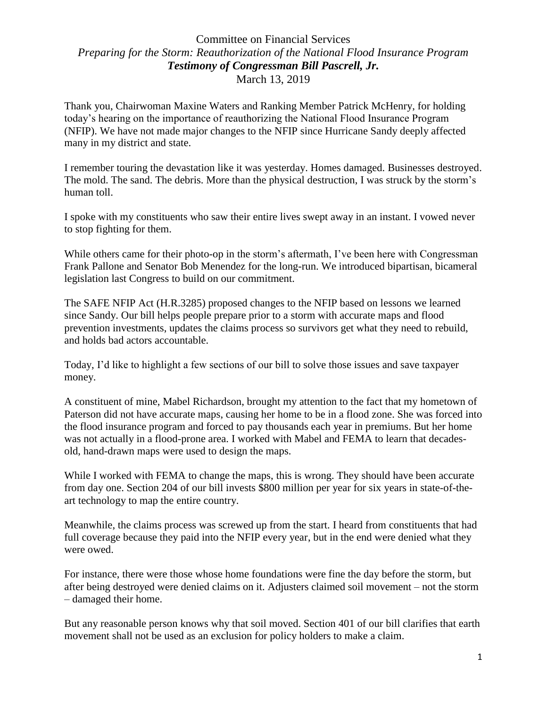## Committee on Financial Services *Preparing for the Storm: Reauthorization of the National Flood Insurance Program Testimony of Congressman Bill Pascrell, Jr.* March 13, 2019

Thank you, Chairwoman Maxine Waters and Ranking Member Patrick McHenry, for holding today's hearing on the importance of reauthorizing the National Flood Insurance Program (NFIP). We have not made major changes to the NFIP since Hurricane Sandy deeply affected many in my district and state.

I remember touring the devastation like it was yesterday. Homes damaged. Businesses destroyed. The mold. The sand. The debris. More than the physical destruction, I was struck by the storm's human toll.

I spoke with my constituents who saw their entire lives swept away in an instant. I vowed never to stop fighting for them.

While others came for their photo-op in the storm's aftermath, I've been here with Congressman Frank Pallone and Senator Bob Menendez for the long-run. We introduced bipartisan, bicameral legislation last Congress to build on our commitment.

The SAFE NFIP Act (H.R.3285) proposed changes to the NFIP based on lessons we learned since Sandy. Our bill helps people prepare prior to a storm with accurate maps and flood prevention investments, updates the claims process so survivors get what they need to rebuild, and holds bad actors accountable.

Today, I'd like to highlight a few sections of our bill to solve those issues and save taxpayer money.

A constituent of mine, Mabel Richardson, brought my attention to the fact that my hometown of Paterson did not have accurate maps, causing her home to be in a flood zone. She was forced into the flood insurance program and forced to pay thousands each year in premiums. But her home was not actually in a flood-prone area. I worked with Mabel and FEMA to learn that decadesold, hand-drawn maps were used to design the maps.

While I worked with FEMA to change the maps, this is wrong. They should have been accurate from day one. Section 204 of our bill invests \$800 million per year for six years in state-of-theart technology to map the entire country.

Meanwhile, the claims process was screwed up from the start. I heard from constituents that had full coverage because they paid into the NFIP every year, but in the end were denied what they were owed.

For instance, there were those whose home foundations were fine the day before the storm, but after being destroyed were denied claims on it. Adjusters claimed soil movement – not the storm – damaged their home.

But any reasonable person knows why that soil moved. Section 401 of our bill clarifies that earth movement shall not be used as an exclusion for policy holders to make a claim.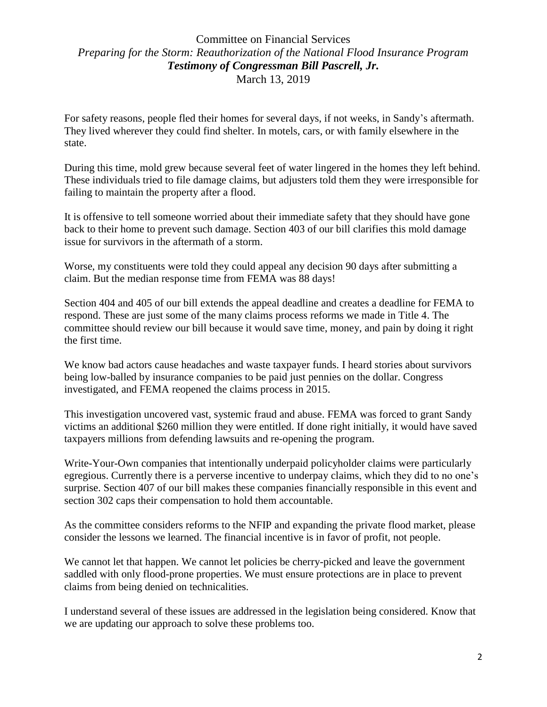## Committee on Financial Services *Preparing for the Storm: Reauthorization of the National Flood Insurance Program Testimony of Congressman Bill Pascrell, Jr.* March 13, 2019

For safety reasons, people fled their homes for several days, if not weeks, in Sandy's aftermath. They lived wherever they could find shelter. In motels, cars, or with family elsewhere in the state.

During this time, mold grew because several feet of water lingered in the homes they left behind. These individuals tried to file damage claims, but adjusters told them they were irresponsible for failing to maintain the property after a flood.

It is offensive to tell someone worried about their immediate safety that they should have gone back to their home to prevent such damage. Section 403 of our bill clarifies this mold damage issue for survivors in the aftermath of a storm.

Worse, my constituents were told they could appeal any decision 90 days after submitting a claim. But the median response time from FEMA was 88 days!

Section 404 and 405 of our bill extends the appeal deadline and creates a deadline for FEMA to respond. These are just some of the many claims process reforms we made in Title 4. The committee should review our bill because it would save time, money, and pain by doing it right the first time.

We know bad actors cause headaches and waste taxpayer funds. I heard stories about survivors being low-balled by insurance companies to be paid just pennies on the dollar. Congress investigated, and FEMA reopened the claims process in 2015.

This investigation uncovered vast, systemic fraud and abuse. FEMA was forced to grant Sandy victims an additional \$260 million they were entitled. If done right initially, it would have saved taxpayers millions from defending lawsuits and re-opening the program.

Write-Your-Own companies that intentionally underpaid policyholder claims were particularly egregious. Currently there is a perverse incentive to underpay claims, which they did to no one's surprise. Section 407 of our bill makes these companies financially responsible in this event and section 302 caps their compensation to hold them accountable.

As the committee considers reforms to the NFIP and expanding the private flood market, please consider the lessons we learned. The financial incentive is in favor of profit, not people.

We cannot let that happen. We cannot let policies be cherry-picked and leave the government saddled with only flood-prone properties. We must ensure protections are in place to prevent claims from being denied on technicalities.

I understand several of these issues are addressed in the legislation being considered. Know that we are updating our approach to solve these problems too.